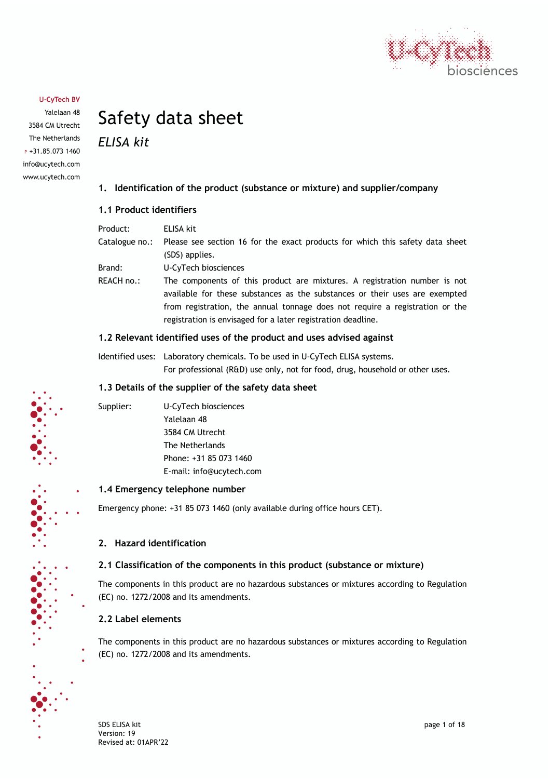

Yalelaan 48 3584 CM Utrecht The Netherlands  $P + 31.85.0731460$ info@ucytech.com www.ucytech.com

# Safety data sheet

*ELISA kit*

#### **1. Identification of the product (substance or mixture) and supplier/company**

#### **1.1 Product identifiers**

| Product:       | ELISA kit                                                                                                                                                |
|----------------|----------------------------------------------------------------------------------------------------------------------------------------------------------|
| Catalogue no.: | Please see section 16 for the exact products for which this safety data sheet                                                                            |
|                | (SDS) applies.                                                                                                                                           |
| Brand:         | U-CyTech biosciences                                                                                                                                     |
| REACH no.:     | The components of this product are mixtures. A registration number is not<br>available for these substances as the substances or their uses are exempted |
|                | from registration, the annual tonnage does not require a registration or the                                                                             |
|                | registration is envisaged for a later registration deadline.                                                                                             |

#### **1.2 Relevant identified uses of the product and uses advised against**

Identified uses: Laboratory chemicals. To be used in U-CyTech ELISA systems. For professional (R&D) use only, not for food, drug, household or other uses.

#### **1.3 Details of the supplier of the safety data sheet**

Supplier: U-CyTech biosciences Yalelaan 48 3584 CM Utrecht The Netherlands Phone: +31 85 073 1460 E-mail: info@ucytech.com

#### **1.4 Emergency telephone number**

Emergency phone: +31 85 073 1460 (only available during office hours CET).

#### **2. Hazard identification**

#### **2.1 Classification of the components in this product (substance or mixture)**

The components in this product are no hazardous substances or mixtures according to Regulation (EC) no. 1272/2008 and its amendments.

#### **2.2 Label elements**

The components in this product are no hazardous substances or mixtures according to Regulation (EC) no. 1272/2008 and its amendments.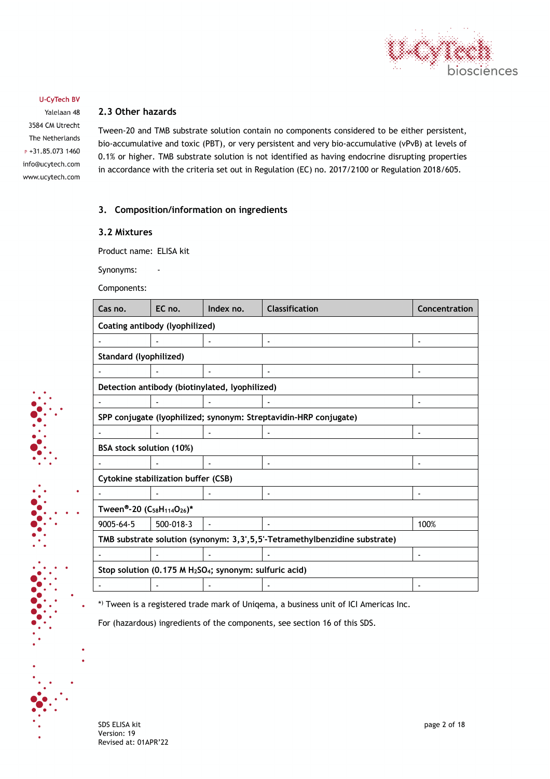

Yalelaan 48 3584 CM Utrecht The Netherlands  $P + 31.85.0731460$ info@ucytech.com www.ucytech.com

#### **2.3 Other hazards**

Tween-20 and TMB substrate solution contain no components considered to be either persistent, bio-accumulative and toxic (PBT), or very persistent and very bio-accumulative (vPvB) at levels of 0.1% or higher. TMB substrate solution is not identified as having endocrine disrupting properties in accordance with the criteria set out in Regulation (EC) no. 2017/2100 or Regulation 2018/605.

#### **3. Composition/information on ingredients**

#### **3.2 Mixtures**

Product name: ELISA kit

Synonyms: -

Components:

| Cas no.                                                                         | EC no.                                                           | Index no.                                      | <b>Classification</b> | Concentration |
|---------------------------------------------------------------------------------|------------------------------------------------------------------|------------------------------------------------|-----------------------|---------------|
| Coating antibody (lyophilized)                                                  |                                                                  |                                                |                       |               |
|                                                                                 |                                                                  |                                                |                       |               |
| Standard (lyophilized)                                                          |                                                                  |                                                |                       |               |
|                                                                                 |                                                                  |                                                |                       |               |
|                                                                                 |                                                                  | Detection antibody (biotinylated, lyophilized) |                       |               |
|                                                                                 |                                                                  |                                                |                       |               |
|                                                                                 | SPP conjugate (lyophilized; synonym: Streptavidin-HRP conjugate) |                                                |                       |               |
|                                                                                 |                                                                  |                                                |                       |               |
|                                                                                 | BSA stock solution (10%)                                         |                                                |                       |               |
|                                                                                 |                                                                  |                                                |                       |               |
| Cytokine stabilization buffer (CSB)                                             |                                                                  |                                                |                       |               |
|                                                                                 |                                                                  |                                                |                       |               |
| Tween®-20 (C <sub>58</sub> H <sub>114</sub> O <sub>26</sub> )*                  |                                                                  |                                                |                       |               |
| $9005 - 64 - 5$                                                                 | 500-018-3                                                        |                                                |                       | 100%          |
| TMB substrate solution (synonym: 3,3',5,5'-Tetramethylbenzidine substrate)      |                                                                  |                                                |                       |               |
|                                                                                 |                                                                  |                                                |                       |               |
| Stop solution (0.175 M H <sub>2</sub> SO <sub>4</sub> ; synonym: sulfuric acid) |                                                                  |                                                |                       |               |
|                                                                                 |                                                                  |                                                |                       |               |

\*) Tween is a registered trade mark of Uniqema, a business unit of ICI Americas Inc.

For (hazardous) ingredients of the components, see section 16 of this SDS.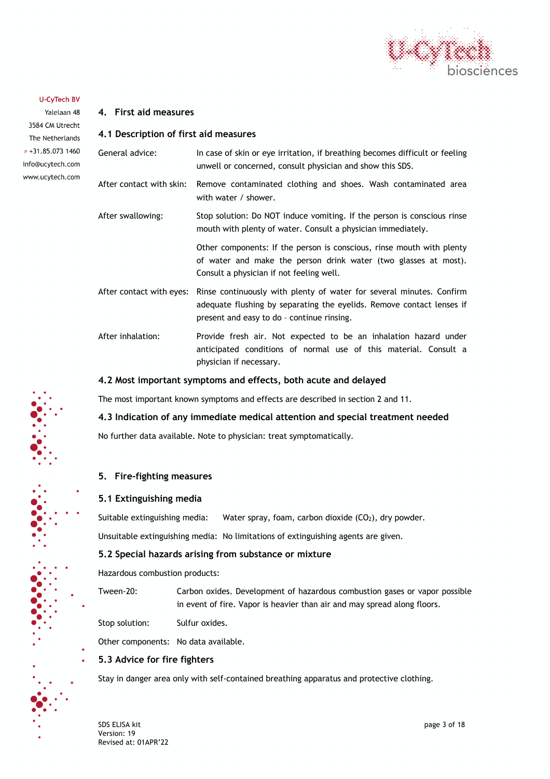

Yalelaan 48 3584 CM Utrecht The Netherlands  $P + 31.85.0731460$ info@ucytech.com www.ucytech.com

| 4.1 Description of first aid measures                           |                                                                                                                                                                                             |  |
|-----------------------------------------------------------------|---------------------------------------------------------------------------------------------------------------------------------------------------------------------------------------------|--|
| General advice:                                                 | In case of skin or eye irritation, if breathing becomes difficult or feeling<br>unwell or concerned, consult physician and show this SDS.                                                   |  |
| After contact with skin:                                        | Remove contaminated clothing and shoes. Wash contaminated area<br>with water / shower.                                                                                                      |  |
| After swallowing:                                               | Stop solution: Do NOT induce vomiting. If the person is conscious rinse<br>mouth with plenty of water. Consult a physician immediately.                                                     |  |
|                                                                 | Other components: If the person is conscious, rinse mouth with plenty<br>of water and make the person drink water (two glasses at most).<br>Consult a physician if not feeling well.        |  |
| After contact with eyes:                                        | Rinse continuously with plenty of water for several minutes. Confirm<br>adequate flushing by separating the eyelids. Remove contact lenses if<br>present and easy to do - continue rinsing. |  |
| After inhalation:                                               | Provide fresh air. Not expected to be an inhalation hazard under<br>anticipated conditions of normal use of this material. Consult a<br>physician if necessary.                             |  |
| 4.2 Most important symptoms and effects, both acute and delayed |                                                                                                                                                                                             |  |

The most important known symptoms and effects are described in section 2 and 11.

#### **4.3 Indication of any immediate medical attention and special treatment needed**

No further data available. Note to physician: treat symptomatically.

#### **5. Fire-fighting measures**

#### **5.1 Extinguishing media**

**4. First aid measures**

Suitable extinguishing media: Water spray, foam, carbon dioxide  $(CO<sub>2</sub>)$ , dry powder.

Unsuitable extinguishing media: No limitations of extinguishing agents are given.

#### **5.2 Special hazards arising from substance or mixture**

Hazardous combustion products:

Tween-20: Carbon oxides. Development of hazardous combustion gases or vapor possible in event of fire. Vapor is heavier than air and may spread along floors.

Stop solution: Sulfur oxides.

Other components: No data available.

#### **5.3 Advice for fire fighters**

Stay in danger area only with self-contained breathing apparatus and protective clothing.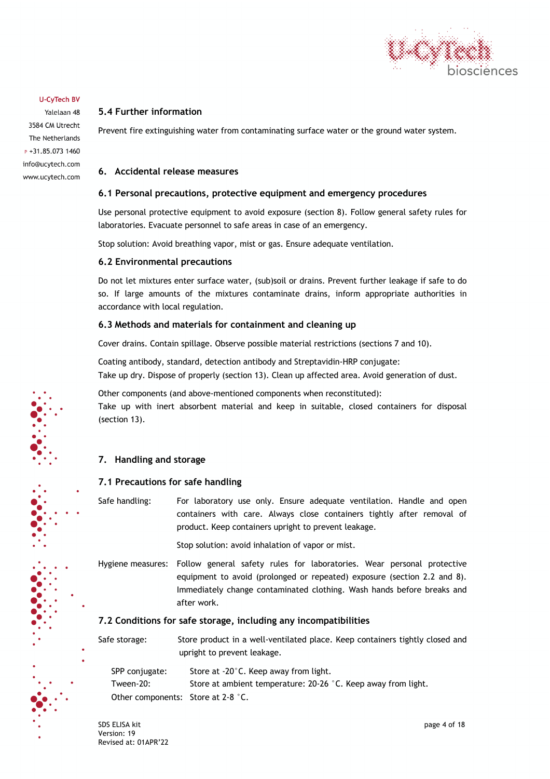

Yalelaan 48 3584 CM Utrecht The Netherlands P +31.85.073 1460 info@ucytech.com www.ucytech.com

#### **5.4 Further information**

Prevent fire extinguishing water from contaminating surface water or the ground water system.

#### **6. Accidental release measures**

#### **6.1 Personal precautions, protective equipment and emergency procedures**

Use personal protective equipment to avoid exposure (section 8). Follow general safety rules for laboratories. Evacuate personnel to safe areas in case of an emergency.

Stop solution: Avoid breathing vapor, mist or gas. Ensure adequate ventilation.

#### **6.2 Environmental precautions**

Do not let mixtures enter surface water, (sub)soil or drains. Prevent further leakage if safe to do so. If large amounts of the mixtures contaminate drains, inform appropriate authorities in accordance with local regulation.

#### **6.3 Methods and materials for containment and cleaning up**

Cover drains. Contain spillage. Observe possible material restrictions (sections 7 and 10).

Coating antibody, standard, detection antibody and Streptavidin-HRP conjugate: Take up dry. Dispose of properly (section 13). Clean up affected area. Avoid generation of dust.

Other components (and above-mentioned components when reconstituted): Take up with inert absorbent material and keep in suitable, closed containers for disposal (section 13).

#### **7. Handling and storage**

#### **7.1 Precautions for safe handling**

Safe handling: For laboratory use only. Ensure adequate ventilation. Handle and open containers with care. Always close containers tightly after removal of product. Keep containers upright to prevent leakage.

Stop solution: avoid inhalation of vapor or mist.

Hygiene measures: Follow general safety rules for laboratories. Wear personal protective equipment to avoid (prolonged or repeated) exposure (section 2.2 and 8). Immediately change contaminated clothing. Wash hands before breaks and after work.

#### **7.2 Conditions for safe storage, including any incompatibilities**

Safe storage: Store product in a well-ventilated place. Keep containers tightly closed and upright to prevent leakage.

| SPP conjugate:                     | Store at -20°C. Keep away from light.                         |
|------------------------------------|---------------------------------------------------------------|
| Tween-20:                          | Store at ambient temperature: 20-26 °C. Keep away from light. |
| Other components: Store at 2-8 °C. |                                                               |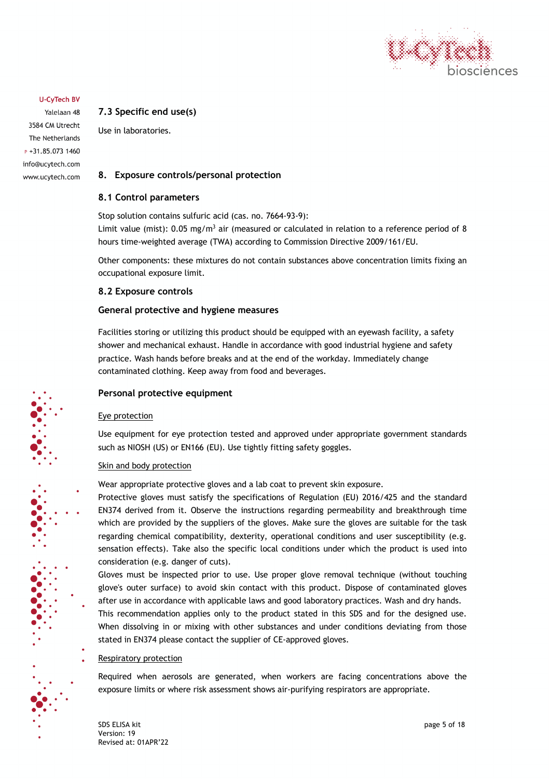

Yalelaan 48 3584 CM Utrecht The Netherlands  $P + 31.85.073.1460$ info@ucytech.com www.ucytech.com

#### **7.3 Specific end use(s)**

Use in laboratories.

#### **8. Exposure controls/personal protection**

#### **8.1 Control parameters**

Stop solution contains sulfuric acid (cas. no. 7664-93-9): Limit value (mist):  $0.05 \text{ mg/m}^3$  air (measured or calculated in relation to a reference period of 8 hours time-weighted average (TWA) according to Commission Directive 2009/161/EU.

Other components: these mixtures do not contain substances above concentration limits fixing an occupational exposure limit.

#### **8.2 Exposure controls**

#### **General protective and hygiene measures**

Facilities storing or utilizing this product should be equipped with an eyewash facility, a safety shower and mechanical exhaust. Handle in accordance with good industrial hygiene and safety practice. Wash hands before breaks and at the end of the workday. Immediately change contaminated clothing. Keep away from food and beverages.

#### **Personal protective equipment**

#### Eye protection

Use equipment for eye protection tested and approved under appropriate government standards such as NIOSH (US) or EN166 (EU). Use tightly fitting safety goggles.

#### Skin and body protection

Wear appropriate protective gloves and a lab coat to prevent skin exposure.

Protective gloves must satisfy the specifications of Regulation (EU) 2016/425 and the standard EN374 derived from it. Observe the instructions regarding permeability and breakthrough time which are provided by the suppliers of the gloves. Make sure the gloves are suitable for the task regarding chemical compatibility, dexterity, operational conditions and user susceptibility (e.g. sensation effects). Take also the specific local conditions under which the product is used into consideration (e.g. danger of cuts).

Gloves must be inspected prior to use. Use proper glove removal technique (without touching glove's outer surface) to avoid skin contact with this product. Dispose of contaminated gloves after use in accordance with applicable laws and good laboratory practices. Wash and dry hands.

This recommendation applies only to the product stated in this SDS and for the designed use. When dissolving in or mixing with other substances and under conditions deviating from those stated in EN374 please contact the supplier of CE-approved gloves.

#### Respiratory protection

Required when aerosols are generated, when workers are facing concentrations above the exposure limits or where risk assessment shows air-purifying respirators are appropriate.

SDS ELISA kit page 5 of 18 Version: 19 Revised at: 01APR'22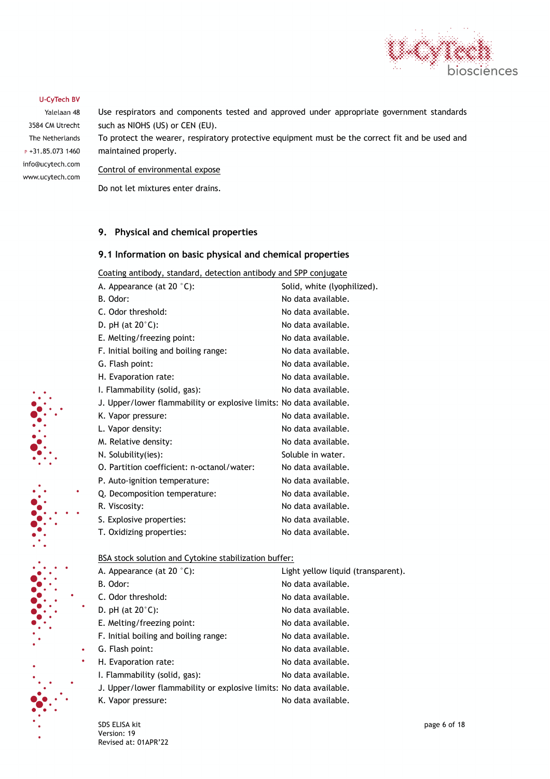

Yalelaan 48 3584 CM Utrecht The Netherlands  $P + 31.85.0731460$ info@ucytech.com www.ucytech.com Use respirators and components tested and approved under appropriate government standards such as NIOHS (US) or CEN (EU).

To protect the wearer, respiratory protective equipment must be the correct fit and be used and maintained properly.

Control of environmental expose

Do not let mixtures enter drains.

#### **9. Physical and chemical properties**

#### **9.1 Information on basic physical and chemical properties**

Coating antibody, standard, detection antibody and SPP conjugate

| A. Appearance (at 20 $°C$ ):                                        | Solid, white (lyophilized). |
|---------------------------------------------------------------------|-----------------------------|
| B. Odor:                                                            | No data available.          |
| C. Odor threshold:                                                  | No data available.          |
| D. pH (at $20^{\circ}$ C):                                          | No data available.          |
| E. Melting/freezing point:                                          | No data available.          |
| F. Initial boiling and boiling range:                               | No data available.          |
| G. Flash point:                                                     | No data available.          |
| H. Evaporation rate:                                                | No data available.          |
| I. Flammability (solid, gas):                                       | No data available.          |
| J. Upper/lower flammability or explosive limits: No data available. |                             |
| K. Vapor pressure:                                                  | No data available.          |
| L. Vapor density:                                                   | No data available.          |
| M. Relative density:                                                | No data available.          |
| N. Solubility(ies):                                                 | Soluble in water.           |
| O. Partition coefficient: n-octanol/water:                          | No data available.          |
| P. Auto-ignition temperature:                                       | No data available.          |
| Q. Decomposition temperature:                                       | No data available.          |
| R. Viscosity:                                                       | No data available.          |
| S. Explosive properties:                                            | No data available.          |
| T. Oxidizing properties:                                            | No data available.          |
|                                                                     |                             |

BSA stock solution and Cytokine stabilization buffer:

| A. Appearance (at 20 $°C$ ):                                        | Light yellow liquid (transparent). |
|---------------------------------------------------------------------|------------------------------------|
| B. Odor:                                                            | No data available.                 |
| C. Odor threshold:                                                  | No data available.                 |
| D. pH (at $20^{\circ}$ C):                                          | No data available.                 |
| E. Melting/freezing point:                                          | No data available.                 |
| F. Initial boiling and boiling range:                               | No data available.                 |
| G. Flash point:                                                     | No data available.                 |
| H. Evaporation rate:                                                | No data available.                 |
| I. Flammability (solid, gas):                                       | No data available.                 |
| J. Upper/lower flammability or explosive limits: No data available. |                                    |
| K. Vapor pressure:                                                  | No data available.                 |

SDS ELISA kit page 6 of 18 Version: 19 Revised at: 01APR'22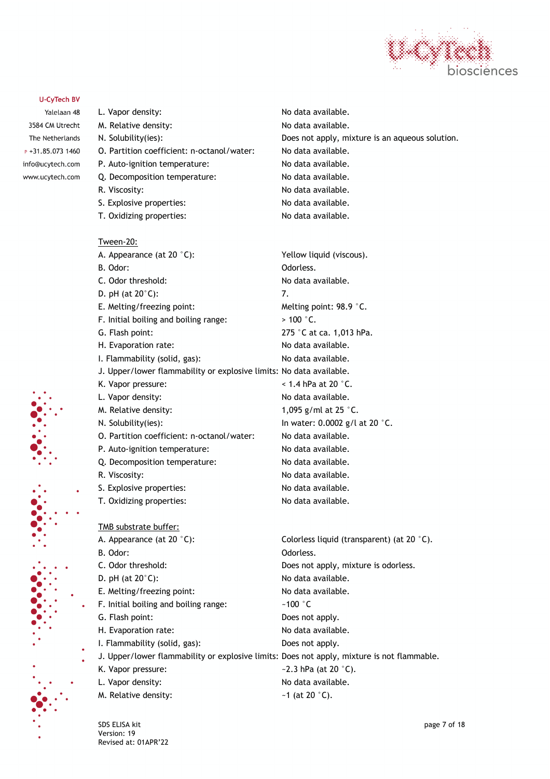

Yalelaan 48 3584 CM Utrecht The Netherlands  $P + 31.85.0731460$ info@ucytech.com www.ucytech.com



- O. Partition coefficient: n-octanol/water: No data available.
- P. Auto-ignition temperature: No data available.
	- Q. Decomposition temperature: No data available.
	- R. Viscosity: No data available.
	- S. Explosive properties: No data available.
	- T. Oxidizing properties: No data available.

Tween-20:

- A. Appearance (at 20 °C): Yellow liquid (viscous). B. Odor: Case Contract Contract Contract Contract Contract Contract Contract Contract Contract Contract Contract Contract Contract Contract Contract Contract Contract Contract Contract Contract Contract Contract Contract C C. Odor threshold: No data available.
- D. pH (at  $20^{\circ}$ C): 7.
- E. Melting/freezing point: Melting point: 98.9 °C.
- F. Initial boiling and boiling range:  $> 100$  °C.
- 
- H. Evaporation rate: No data available.
- I. Flammability (solid, gas): No data available.
- J. Upper/lower flammability or explosive limits: No data available.
- 
- 
- 
- 
- O. Partition coefficient: n-octanol/water: No data available.
- P. Auto-ignition temperature: No data available.
	- Q. Decomposition temperature: No data available.
	-
	- S. Explosive properties: No data available.
- T. Oxidizing properties: No data available.

TMB substrate buffer:

- B. Odor: Call Contract Contract Contract Contract Contract Contract Contract Contract Contract Contract Contract Contract Contract Contract Contract Contract Contract Contract Contract Contract Contract Contract Contract C
- 
- E. Melting/freezing point: No data available.
- F. Initial boiling and boiling range:  $\sim 100$  °C
- 
- 
- I. Flammability (solid, gas): Does not apply.
- 
- 
- 
- M. Relative density:  $\blacksquare$   $\blacksquare$  1 (at 20  $\degree$ C).

N. Solubility(ies): Does not apply, mixture is an aqueous solution.

G. Flash point: 275 °C at ca. 1,013 hPa. K. Vapor pressure:  $\leq 1.4$  hPa at 20 °C. L. Vapor density:  $\blacksquare$ M. Relative density:  $1,095 \text{ g/ml at } 25 \text{ }^{\circ}\text{C}.$ N. Solubility(ies): In water: 0.0002 g/l at 20 °C. R. Viscosity: No data available.

A. Appearance (at 20 °C): Colorless liquid (transparent) (at 20 °C). C. Odor threshold: Does not apply, mixture is odorless. D. pH (at 20°C): No data available. G. Flash point: Does not apply. H. Evaporation rate: No data available. J. Upper/lower flammability or explosive limits: Does not apply, mixture is not flammable. K. Vapor pressure:  $\sim$  2.3 hPa (at 20  $\degree$ C). L. Vapor density:  $\blacksquare$ 

SDS ELISA kit page 7 of 18 Version: 19 Revised at: 01APR'22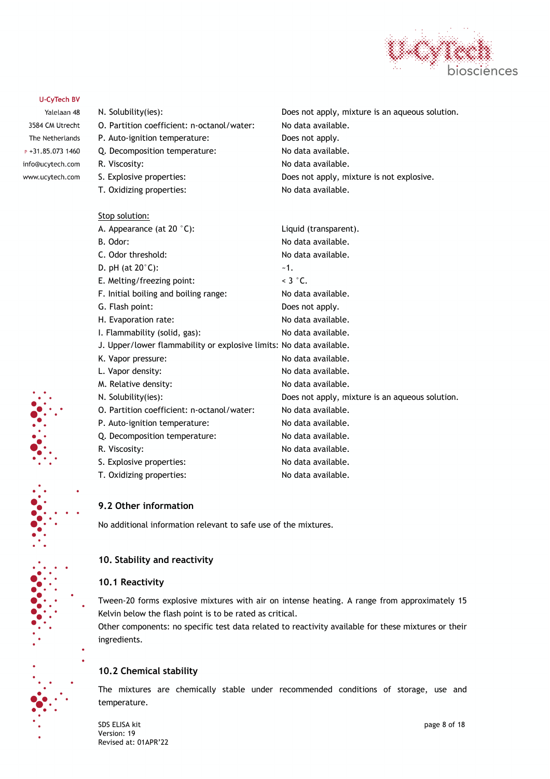

Yalelaan 48 3584 CM Utrecht The Netherlands  $P + 31.85.0731460$ info@ucytech.com www.ucytech.com

## N. Solubility(ies): Does not apply, mixture is an aqueous solution. O. Partition coefficient: n-octanol/water: No data available. P. Auto-ignition temperature: Does not apply. Q. Decomposition temperature: No data available. R. Viscosity: No data available. S. Explosive properties:  $\qquad \qquad \qquad$  Does not apply, mixture is not explosive. T. Oxidizing properties: No data available. Stop solution: A. Appearance (at 20 °C): Liquid (transparent). B. Odor: No data available. C. Odor threshold: C. Odor threshold: D. pH (at  $20^{\circ}$ C):  $-1$ . E. Melting/freezing point:  $\leq 3 \degree C$ . F. Initial boiling and boiling range: No data available. G. Flash point: Does not apply. H. Evaporation rate: No data available. I. Flammability (solid, gas): No data available. J. Upper/lower flammability or explosive limits: No data available. K. Vapor pressure: No data available. L. Vapor density:  $\blacksquare$ M. Relative density: No data available.

N. Solubility(ies): Does not apply, mixture is an aqueous solution. O. Partition coefficient: n-octanol/water: No data available. P. Auto-ignition temperature: No data available. Q. Decomposition temperature: No data available. R. Viscosity: No data available. S. Explosive properties: No data available. T. Oxidizing properties: No data available.

**9.2 Other information**

No additional information relevant to safe use of the mixtures.

#### **10. Stability and reactivity**

#### **10.1 Reactivity**

Tween-20 forms explosive mixtures with air on intense heating. A range from approximately 15 Kelvin below the flash point is to be rated as critical.

Other components: no specific test data related to reactivity available for these mixtures or their ingredients.

#### **10.2 Chemical stability**

The mixtures are chemically stable under recommended conditions of storage, use and temperature.

SDS ELISA kit page 8 of 18 Version: 19 Revised at: 01APR'22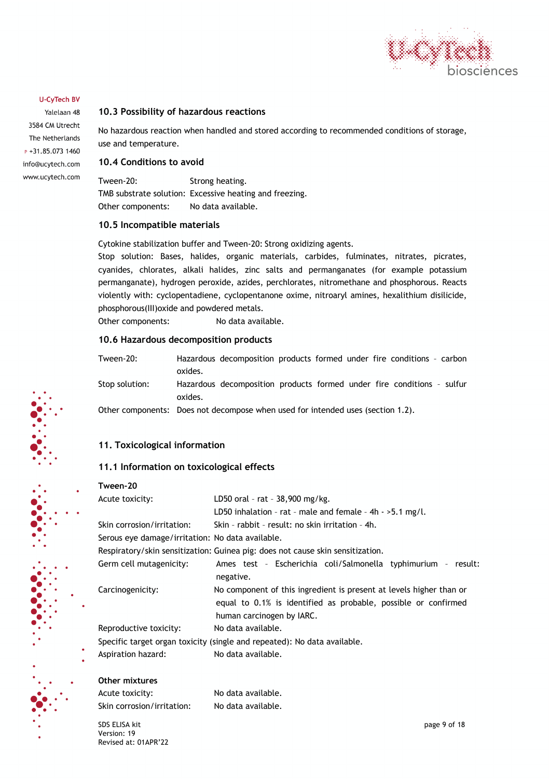

Yalelaan 48 3584 CM Utrecht The Netherlands  $P + 31.85.0731460$ info@ucytech.com www.ucytech.com

#### **10.3 Possibility of hazardous reactions**

No hazardous reaction when handled and stored according to recommended conditions of storage, use and temperature.

#### **10.4 Conditions to avoid**

Tween-20: Strong heating. TMB substrate solution: Excessive heating and freezing. Other components: No data available.

#### **10.5 Incompatible materials**

Cytokine stabilization buffer and Tween-20: Strong oxidizing agents.

Stop solution: Bases, halides, organic materials, carbides, fulminates, nitrates, picrates, cyanides, chlorates, alkali halides, zinc salts and permanganates (for example potassium permanganate), hydrogen peroxide, azides, perchlorates, nitromethane and phosphorous. Reacts violently with: cyclopentadiene, cyclopentanone oxime, nitroaryl amines, hexalithium disilicide, phosphorous(III)oxide and powdered metals.

Other components: No data available.

#### **10.6 Hazardous decomposition products**

Tween-20: Hazardous decomposition products formed under fire conditions – carbon oxides. Stop solution: Hazardous decomposition products formed under fire conditions – sulfur oxides.

Other components: Does not decompose when used for intended uses (section 1.2).

#### **11. Toxicological information**

#### **11.1 Information on toxicological effects**

#### **Tween-20**

| Acute toxicity:                                  | LD50 oral - rat - 38,900 mg/kg.                                                |
|--------------------------------------------------|--------------------------------------------------------------------------------|
|                                                  | LD50 inhalation - rat - male and female - $4h \rightarrow 5.1$ mg/l.           |
| Skin corrosion/irritation:                       | Skin - rabbit - result: no skin irritation - 4h.                               |
| Serous eye damage/irritation: No data available. |                                                                                |
|                                                  | Respiratory/skin sensitization: Guinea pig: does not cause skin sensitization. |
| Germ cell mutagenicity:                          | Ames test - Escherichia coli/Salmonella typhimurium - result:                  |
|                                                  | negative.                                                                      |
| Carcinogenicity:                                 | No component of this ingredient is present at levels higher than or            |
|                                                  | equal to 0.1% is identified as probable, possible or confirmed                 |
|                                                  | human carcinogen by IARC.                                                      |
| Reproductive toxicity:                           | No data available.                                                             |
|                                                  | Specific target organ toxicity (single and repeated): No data available.       |
| Aspiration hazard:                               | No data available.                                                             |

#### **Other mixtures**

Acute toxicity: No data available. Skin corrosion/irritation: No data available.

SDS ELISA kit page 9 of 18 Version: 19 Revised at: 01APR'22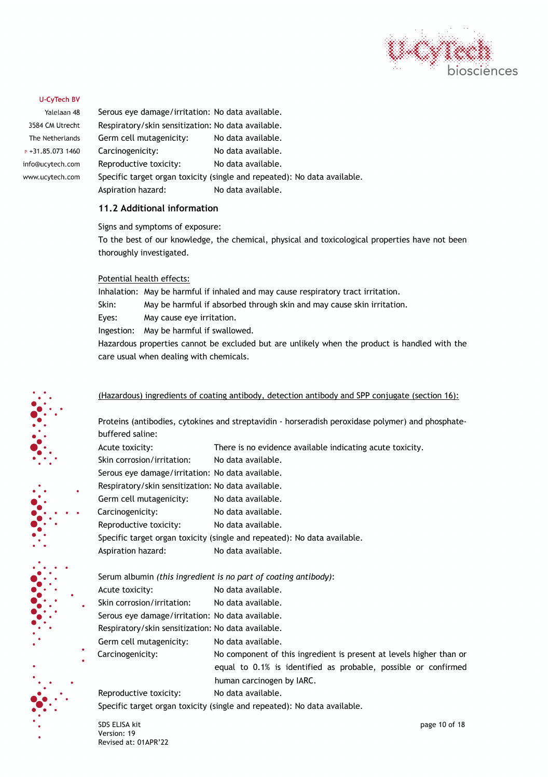

Yalelaan 48 3584 CM Utrecht The Netherlands  $P + 31.85.0731460$ info@ucytech.com www.ucytech.com

Serous eye damage/irritation: No data available. Respiratory/skin sensitization: No data available. Germ cell mutagenicity: No data available. Carcinogenicity: No data available. Reproductive toxicity: No data available. Specific target organ toxicity (single and repeated): No data available. Aspiration hazard: No data available.

#### **11.2 Additional information**

Signs and symptoms of exposure:

To the best of our knowledge, the chemical, physical and toxicological properties have not been thoroughly investigated.

#### Potential health effects:

Inhalation: May be harmful if inhaled and may cause respiratory tract irritation. Skin: May be harmful if absorbed through skin and may cause skin irritation. Eyes: May cause eye irritation. Ingestion: May be harmful if swallowed. Hazardous properties cannot be excluded but are unlikely when the product is handled with the care usual when dealing with chemicals.

#### (Hazardous) ingredients of coating antibody, detection antibody and SPP conjugate (section 16):

Proteins (antibodies, cytokines and streptavidin - horseradish peroxidase polymer) and phosphatebuffered saline:

- Acute toxicity: There is no evidence available indicating acute toxicity.
- Skin corrosion/irritation: No data available.

Serous eye damage/irritation: No data available.

- Respiratory/skin sensitization: No data available.
- Germ cell mutagenicity: No data available.
- Carcinogenicity: No data available. Reproductive toxicity: No data available.
- Specific target organ toxicity (single and repeated): No data available.

Aspiration hazard: No data available.

Serum albumin *(this ingredient is no part of coating antibody)*:

- Acute toxicity: No data available.
- Skin corrosion/irritation: No data available.

Serous eye damage/irritation: No data available.

Respiratory/skin sensitization: No data available.

- Germ cell mutagenicity: No data available.
- Carcinogenicity: No component of this ingredient is present at levels higher than or

equal to 0.1% is identified as probable, possible or confirmed human carcinogen by IARC.

Reproductive toxicity: No data available.

Specific target organ toxicity (single and repeated): No data available.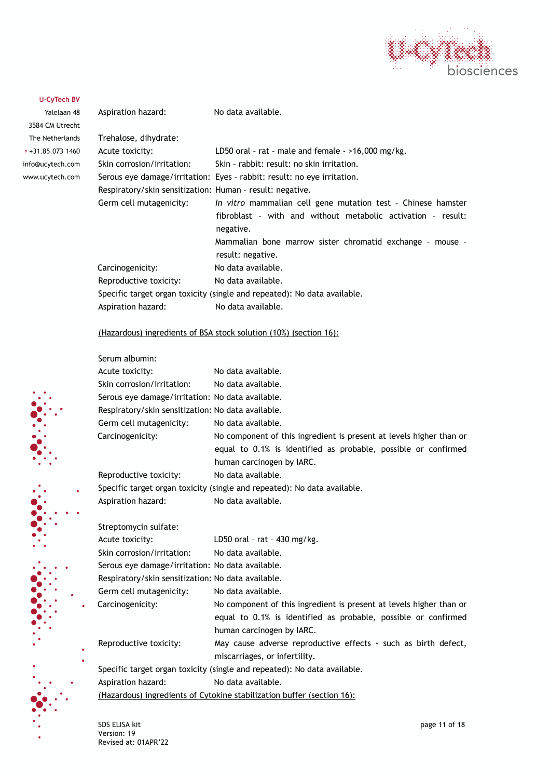

 $\ddot{\cdot}$ 

| Aspiration hazard:                                        | No data available.                                                                                                                                                                                                          |
|-----------------------------------------------------------|-----------------------------------------------------------------------------------------------------------------------------------------------------------------------------------------------------------------------------|
| Trehalose, dihydrate:                                     |                                                                                                                                                                                                                             |
| Acute toxicity:                                           | LD50 oral - rat - male and female $-$ >16,000 mg/kg.                                                                                                                                                                        |
| Skin corrosion/irritation:                                | Skin - rabbit: result: no skin irritation.                                                                                                                                                                                  |
|                                                           | Serous eye damage/irritation: Eyes - rabbit: result: no eye irritation.                                                                                                                                                     |
| Respiratory/skin sensitization: Human - result: negative. |                                                                                                                                                                                                                             |
| Germ cell mutagenicity:                                   | In vitro mammalian cell gene mutation test - Chinese hamster<br>fibroblast - with and without metabolic activation - result:<br>negative.<br>Mammalian bone marrow sister chromatid exchange - mouse -<br>result: negative. |
| Carcinogenicity:                                          | No data available.                                                                                                                                                                                                          |
| Reproductive toxicity:                                    | No data available.                                                                                                                                                                                                          |
|                                                           | Specific target organ toxicity (single and repeated): No data available.                                                                                                                                                    |
| Aspiration hazard:                                        | No data available.                                                                                                                                                                                                          |

#### (Hazardous) ingredients of BSA stock solution (10%) (section 16):

|           | Serum albumin:                                     |                                                                          |
|-----------|----------------------------------------------------|--------------------------------------------------------------------------|
|           | Acute toxicity:                                    | No data available.                                                       |
|           | Skin corrosion/irritation:                         | No data available.                                                       |
|           | Serous eye damage/irritation: No data available.   |                                                                          |
|           | Respiratory/skin sensitization: No data available. |                                                                          |
|           | Germ cell mutagenicity:                            | No data available.                                                       |
|           | Carcinogenicity:                                   | No component of this ingredient is present at levels higher than or      |
|           |                                                    | equal to 0.1% is identified as probable, possible or confirmed           |
|           |                                                    | human carcinogen by IARC.                                                |
|           | Reproductive toxicity:                             | No data available.                                                       |
|           |                                                    | Specific target organ toxicity (single and repeated): No data available. |
|           | Aspiration hazard:                                 | No data available.                                                       |
|           |                                                    |                                                                          |
|           | Streptomycin sulfate:                              |                                                                          |
|           | Acute toxicity:                                    | LD50 oral - rat - $430$ mg/kg.                                           |
|           | Skin corrosion/irritation:                         | No data available.                                                       |
|           | Serous eye damage/irritation: No data available.   |                                                                          |
|           | Respiratory/skin sensitization: No data available. |                                                                          |
|           | Germ cell mutagenicity:                            | No data available.                                                       |
| $\bullet$ | Carcinogenicity:                                   | No component of this ingredient is present at levels higher than or      |
|           |                                                    | equal to 0.1% is identified as probable, possible or confirmed           |
|           |                                                    | human carcinogen by IARC.                                                |
|           | Reproductive toxicity:                             | May cause adverse reproductive effects - such as birth defect,           |
| ۰<br>۰    |                                                    | miscarriages, or infertility.                                            |
|           |                                                    | Specific target organ toxicity (single and repeated): No data available. |
|           | Aspiration hazard:                                 | No data available.                                                       |
|           |                                                    | (Hazardous) ingredients of Cytokine stabilization buffer (section 16):   |
|           |                                                    |                                                                          |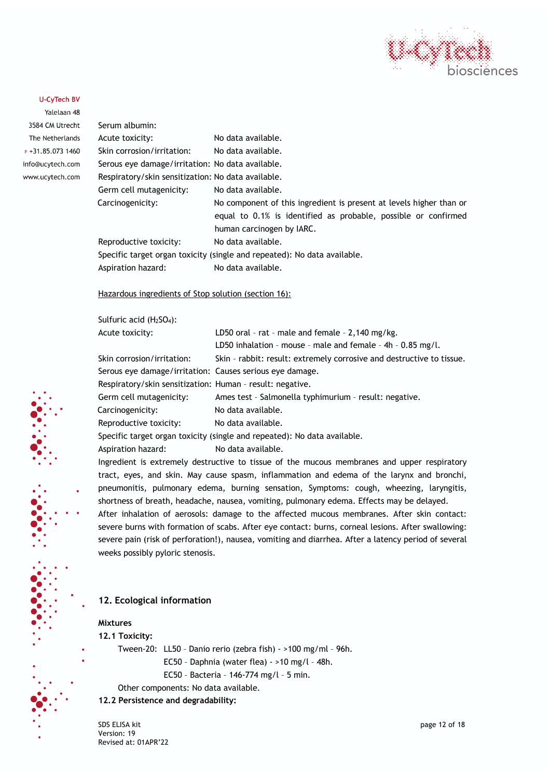

Yalelaan 48 3584 CM Utrecht The Netherlands  $P + 31.85.0731460$ info@ucytech.com www.ucytech.com

| Serum albumin:                                                           |                                                                                                                                                                    |
|--------------------------------------------------------------------------|--------------------------------------------------------------------------------------------------------------------------------------------------------------------|
| Acute toxicity:                                                          | No data available.                                                                                                                                                 |
| Skin corrosion/irritation:                                               | No data available.                                                                                                                                                 |
| Serous eye damage/irritation: No data available.                         |                                                                                                                                                                    |
| Respiratory/skin sensitization: No data available.                       |                                                                                                                                                                    |
| Germ cell mutagenicity:                                                  | No data available.                                                                                                                                                 |
| Carcinogenicity:                                                         | No component of this ingredient is present at levels higher than or<br>equal to 0.1% is identified as probable, possible or confirmed<br>human carcinogen by IARC. |
| Reproductive toxicity:                                                   | No data available.                                                                                                                                                 |
| Specific target organ toxicity (single and repeated): No data available. |                                                                                                                                                                    |
| Aspiration hazard:                                                       | No data available.                                                                                                                                                 |
|                                                                          |                                                                                                                                                                    |

Hazardous ingredients of Stop solution (section 16):

Sulfuric acid (H2SO4):

| Acute toxicity:                                           | LD50 oral - rat - male and female - $2,140$ mg/kg.                       |
|-----------------------------------------------------------|--------------------------------------------------------------------------|
|                                                           | LD50 inhalation - mouse - male and female - $4h - 0.85$ mg/l.            |
| Skin corrosion/irritation:                                | Skin - rabbit: result: extremely corrosive and destructive to tissue.    |
| Serous eye damage/irritation: Causes serious eye damage.  |                                                                          |
| Respiratory/skin sensitization: Human - result: negative. |                                                                          |
| Germ cell mutagenicity:                                   | Ames test - Salmonella typhimurium - result: negative.                   |
| Carcinogenicity:                                          | No data available.                                                       |
| Reproductive toxicity:                                    | No data available.                                                       |
|                                                           | Specific target organ toxicity (single and repeated): No data available. |
| Aspiration hazard:                                        | No data available.                                                       |

Ingredient is extremely destructive to tissue of the mucous membranes and upper respiratory tract, eyes, and skin. May cause spasm, inflammation and edema of the larynx and bronchi, pneumonitis, pulmonary edema, burning sensation, Symptoms: cough, wheezing, laryngitis, shortness of breath, headache, nausea, vomiting, pulmonary edema. Effects may be delayed.

After inhalation of aerosols: damage to the affected mucous membranes. After skin contact: severe burns with formation of scabs. After eye contact: burns, corneal lesions. After swallowing: severe pain (risk of perforation!), nausea, vomiting and diarrhea. After a latency period of several weeks possibly pyloric stenosis.

#### **12. Ecological information**

#### **Mixtures**

**12.1 Toxicity:**

- Tween-20: LL50 Danio rerio (zebra fish) >100 mg/ml 96h.
	- EC50 Daphnia (water flea) >10 mg/l 48h.
	- EC50 Bacteria 146-774 mg/l 5 min.
- Other components: No data available.
- **12.2 Persistence and degradability:**

SDS ELISA kit page 12 of 18 Version: 19 Revised at: 01APR'22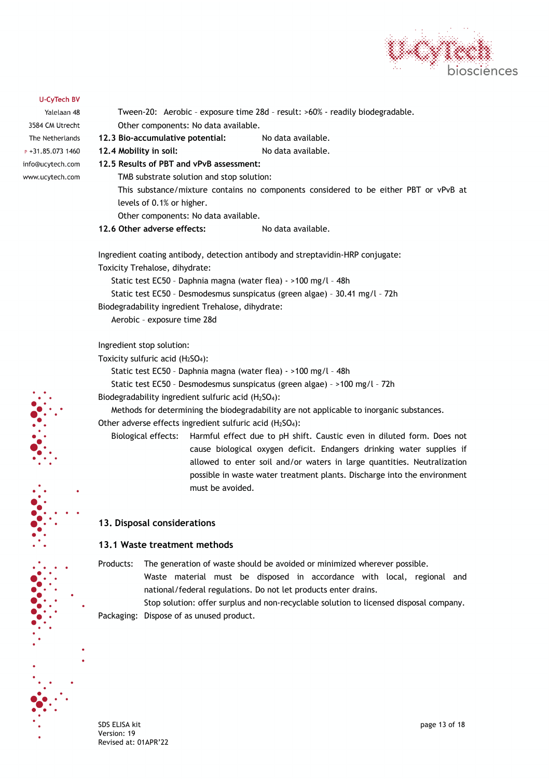

Yalelaan 48 3584 CM Utrecht The Netherlands  $P + 31.85.0731460$ info@ucytech.com www.ucytech.com

Tween-20: Aerobic – exposure time 28d – result: >60% - readily biodegradable. Other components: No data available. **12.3 Bio-accumulative potential:** No data available. **12.4 Mobility in soil:** No data available. **12.5 Results of PBT and vPvB assessment:** TMB substrate solution and stop solution: This substance/mixture contains no components considered to be either PBT or vPvB at levels of 0.1% or higher. Other components: No data available. **12.6 Other adverse effects:** No data available. Ingredient coating antibody, detection antibody and streptavidin-HRP conjugate: Toxicity Trehalose, dihydrate:

Static test EC50 – Daphnia magna (water flea) - >100 mg/l – 48h Static test EC50 – Desmodesmus sunspicatus (green algae) – 30.41 mg/l – 72h Biodegradability ingredient Trehalose, dihydrate: Aerobic – exposure time 28d

Ingredient stop solution:

Toxicity sulfuric acid  $(H<sub>2</sub>SO<sub>4</sub>)$ :

Static test EC50 – Daphnia magna (water flea) - >100 mg/l – 48h

Static test EC50 – Desmodesmus sunspicatus (green algae) – >100 mg/l – 72h

Biodegradability ingredient sulfuric acid  $(H<sub>2</sub>SO<sub>4</sub>)$ :

Methods for determining the biodegradability are not applicable to inorganic substances. Other adverse effects ingredient sulfuric acid (H2SO4):

Biological effects: Harmful effect due to pH shift. Caustic even in diluted form. Does not cause biological oxygen deficit. Endangers drinking water supplies if allowed to enter soil and/or waters in large quantities. Neutralization possible in waste water treatment plants. Discharge into the environment must be avoided.

#### **13. Disposal considerations**

#### **13.1 Waste treatment methods**

Products: The generation of waste should be avoided or minimized wherever possible.

Waste material must be disposed in accordance with local, regional and national/federal regulations. Do not let products enter drains.

Stop solution: offer surplus and non-recyclable solution to licensed disposal company. Packaging: Dispose of as unused product.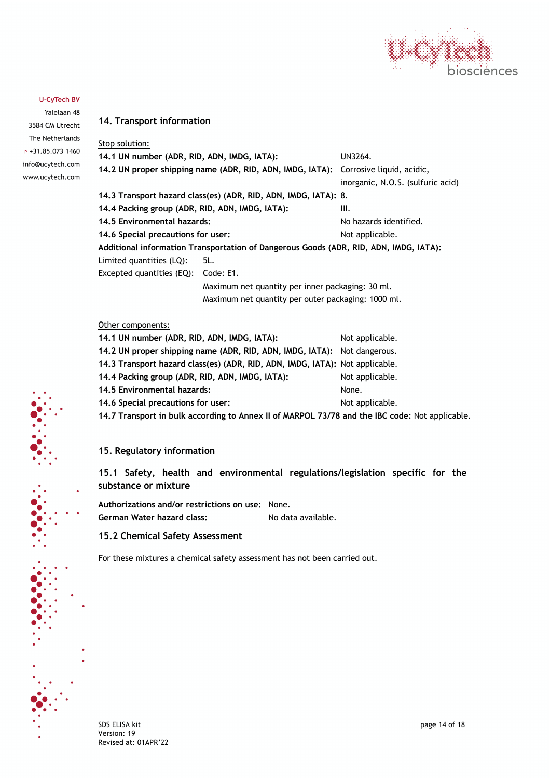

Yalelaan 48 3584 CM Utrecht The Netherlands  $P + 31.85.0731460$ info@ucytech.com www.ucytech.com

#### **14. Transport information**

| Stop solution:                                                  |                                                                                       |                                   |  |  |  |
|-----------------------------------------------------------------|---------------------------------------------------------------------------------------|-----------------------------------|--|--|--|
| 14.1 UN number (ADR, RID, ADN, IMDG, IATA):                     | UN3264.                                                                               |                                   |  |  |  |
|                                                                 | 14.2 UN proper shipping name (ADR, RID, ADN, IMDG, IATA): Corrosive liquid, acidic,   |                                   |  |  |  |
|                                                                 |                                                                                       | inorganic, N.O.S. (sulfuric acid) |  |  |  |
| 14.3 Transport hazard class(es) (ADR, RID, ADN, IMDG, IATA): 8. |                                                                                       |                                   |  |  |  |
| 14.4 Packing group (ADR, RID, ADN, IMDG, IATA):                 | III.                                                                                  |                                   |  |  |  |
| 14.5 Environmental hazards:                                     | No hazards identified.                                                                |                                   |  |  |  |
| 14.6 Special precautions for user:                              |                                                                                       | Not applicable.                   |  |  |  |
|                                                                 | Additional information Transportation of Dangerous Goods (ADR, RID, ADN, IMDG, IATA); |                                   |  |  |  |
| Limited quantities (LQ):                                        | 5L.                                                                                   |                                   |  |  |  |
| Excepted quantities (EQ):                                       | Code: E1.                                                                             |                                   |  |  |  |
|                                                                 | Maximum net quantity per inner packaging: 30 ml.                                      |                                   |  |  |  |
|                                                                 | Maximum net quantity per outer packaging: 1000 ml.                                    |                                   |  |  |  |
|                                                                 |                                                                                       |                                   |  |  |  |

#### Other components:

| 14.1 UN number (ADR, RID, ADN, IMDG, IATA):                                        | Not applicable. |
|------------------------------------------------------------------------------------|-----------------|
| 14.2 UN proper shipping name (ADR, RID, ADN, IMDG, IATA): Not dangerous.           |                 |
| 14.3 Transport hazard class(es) (ADR, RID, ADN, IMDG, IATA): Not applicable.       |                 |
| 14.4 Packing group (ADR, RID, ADN, IMDG, IATA):                                    | Not applicable. |
| 14.5 Environmental hazards:                                                        | None.           |
| 14.6 Special precautions for user:                                                 | Not applicable. |
| 14.7 Transport in bulk according to Annex II of MARPOL 73/78 and the IBC code: Not |                 |

**14.7 Transport in bulk according to Annex II of MARPOL 73/78 and the IBC code:** Not applicable.

#### **15. Regulatory information**

**15.1 Safety, health and environmental regulations/legislation specific for the substance or mixture**

**Authorizations and/or restrictions on use:** None. German Water hazard class: No data available.

#### **15.2 Chemical Safety Assessment**

For these mixtures a chemical safety assessment has not been carried out.

SDS ELISA kit page 14 of 18 Version: 19 Revised at: 01APR'22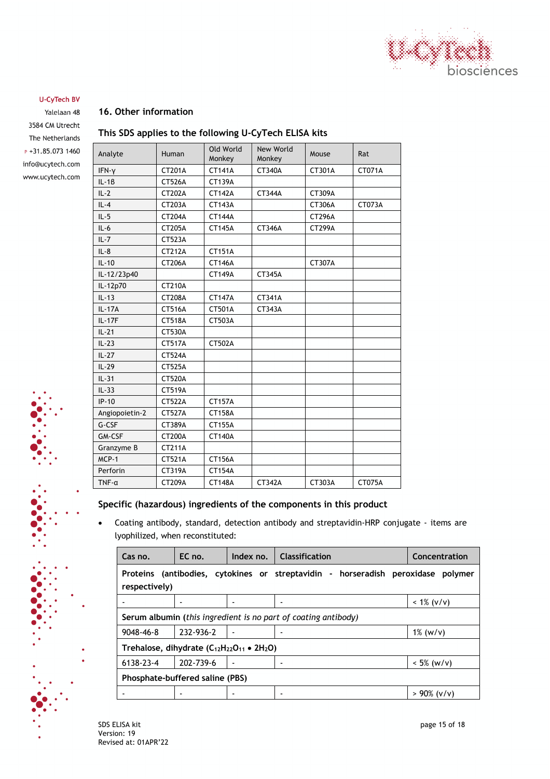

Yalelaan 48 3584 CM Utrecht The Netherlands  $P + 31.85.0731460$ info@ucytech.com www.ucytech.com

#### **16. Other information**

#### **This SDS applies to the following U-CyTech ELISA kits**

| Analyte        | Human         | Old World<br>Monkey | New World<br>Monkey | Mouse         | Rat    |
|----------------|---------------|---------------------|---------------------|---------------|--------|
| $IFN-Y$        | CT201A        | <b>CT141A</b>       | CT340A              | CT301A        | CT071A |
| $IL - 1B$      | <b>CT526A</b> | <b>CT139A</b>       |                     |               |        |
| $IL-2$         | CT202A        | <b>CT142A</b>       | <b>CT344A</b>       | CT309A        |        |
| $IL-4$         | CT203A        | CT143A              |                     | CT306A        | CT073A |
| $IL-5$         | CT204A        | <b>CT144A</b>       |                     | <b>CT296A</b> |        |
| $IL-6$         | CT205A        | <b>CT145A</b>       | CT346A              | <b>CT299A</b> |        |
| $IL - 7$       | CT523A        |                     |                     |               |        |
| $IL-8$         | CT212A        | <b>CT151A</b>       |                     |               |        |
| $IL-10$        | CT206A        | <b>CT146A</b>       |                     | CT307A        |        |
| IL-12/23p40    |               | <b>CT149A</b>       | CT345A              |               |        |
| IL-12p70       | CT210A        |                     |                     |               |        |
| $IL-13$        | <b>CT208A</b> | <b>CT147A</b>       | CT341A              |               |        |
| $IL - 17A$     | CT516A        | CT501A              | CT343A              |               |        |
| $IL - 17F$     | <b>CT518A</b> | CT503A              |                     |               |        |
| $IL-21$        | CT530A        |                     |                     |               |        |
| $IL-23$        | <b>CT517A</b> | CT502A              |                     |               |        |
| $IL-27$        | <b>CT524A</b> |                     |                     |               |        |
| $IL-29$        | <b>CT525A</b> |                     |                     |               |        |
| $IL-31$        | <b>CT520A</b> |                     |                     |               |        |
| $IL-33$        | <b>CT519A</b> |                     |                     |               |        |
| $IP-10$        | <b>CT522A</b> | CT157A              |                     |               |        |
| Angiopoietin-2 | CT527A        | <b>CT158A</b>       |                     |               |        |
| G-CSF          | CT389A        | CT155A              |                     |               |        |
| GM-CSF         | <b>CT200A</b> | CT140A              |                     |               |        |
| Granzyme B     | CT211A        |                     |                     |               |        |
| $MCP-1$        | <b>CT521A</b> | CT156A              |                     |               |        |
| Perforin       | CT319A        | CT154A              |                     |               |        |
| $TNF - \alpha$ | <b>CT209A</b> | <b>CT148A</b>       | CT342A              | CT303A        | CT075A |

#### **Specific (hazardous) ingredients of the components in this product**

• Coating antibody, standard, detection antibody and streptavidin-HRP conjugate - items are lyophilized, when reconstituted:

| Cas no.                                                                                           | EC no.                                                         | Index no. | <b>Classification</b> | Concentration  |  |
|---------------------------------------------------------------------------------------------------|----------------------------------------------------------------|-----------|-----------------------|----------------|--|
| Proteins (antibodies, cytokines or streptavidin - horseradish peroxidase polymer<br>respectively) |                                                                |           |                       |                |  |
|                                                                                                   |                                                                |           |                       | $< 1\% (v/v)$  |  |
|                                                                                                   | Serum albumin (this ingredient is no part of coating antibody) |           |                       |                |  |
| 9048-46-8                                                                                         | 232-936-2                                                      |           |                       | $1\%$ (w/v)    |  |
| Trehalose, dihydrate $(C_{12}H_{22}O_{11} \bullet 2H_2O)$                                         |                                                                |           |                       |                |  |
| 6138-23-4                                                                                         | 202-739-6                                                      |           |                       | $< 5\%$ (w/v)  |  |
| Phosphate-buffered saline (PBS)                                                                   |                                                                |           |                       |                |  |
|                                                                                                   |                                                                |           |                       | $> 90\%$ (v/v) |  |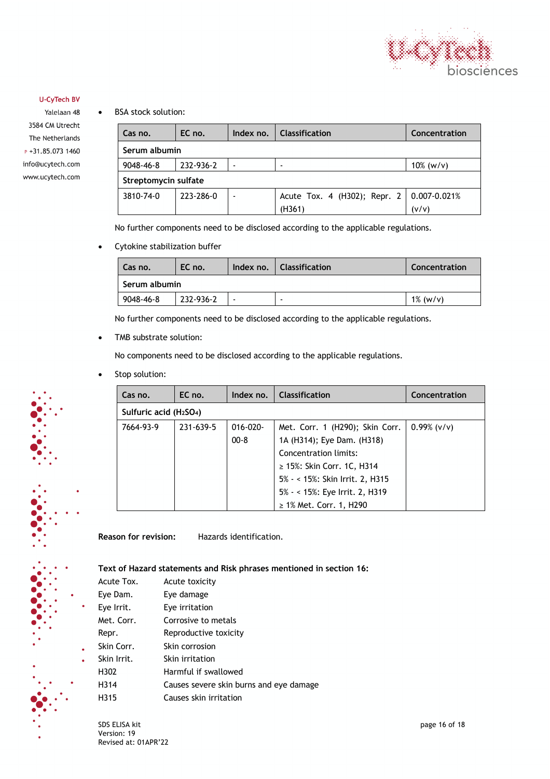

Yalelaan 48 3584 CM Utrecht The Netherlands  $P + 31.85.0731460$ info@ucytech.com www.ucytech.com • BSA stock solution:

| Cas no.              | EC no.    | Index no. | <b>Classification</b>                       | Concentration |
|----------------------|-----------|-----------|---------------------------------------------|---------------|
| Serum albumin        |           |           |                                             |               |
| 9048-46-8            | 232-936-2 |           |                                             | $10\%$ (w/v)  |
| Streptomycin sulfate |           |           |                                             |               |
| 3810-74-0            | 223-286-0 |           | Acute Tox. 4 (H302); Repr. 2   0.007-0.021% |               |
|                      |           |           | (H361)                                      | (v/v)         |

No further components need to be disclosed according to the applicable regulations.

• Cytokine stabilization buffer

| Cas no.       | EC no.    |  | Index no.   Classification | Concentration |  |
|---------------|-----------|--|----------------------------|---------------|--|
| Serum albumin |           |  |                            |               |  |
| 9048-46-8     | 232-936-2 |  |                            | $1\%$ (w/v)   |  |

No further components need to be disclosed according to the applicable regulations.

• TMB substrate solution:

No components need to be disclosed according to the applicable regulations.

Stop solution:

| Cas no.   | EC no.                                          | Index no.     | <b>Classification</b>           | Concentration |  |
|-----------|-------------------------------------------------|---------------|---------------------------------|---------------|--|
|           | Sulfuric acid (H <sub>2</sub> SO <sub>4</sub> ) |               |                                 |               |  |
| 7664-93-9 | 231 639 5                                       | $016 - 020 -$ | Met. Corr. 1 (H290); Skin Corr. | $0.99%$ (v/v) |  |
|           |                                                 | $00 - 8$      | 1A (H314); Eye Dam. (H318)      |               |  |
|           |                                                 |               | Concentration limits:           |               |  |
|           |                                                 |               | $\geq$ 15%: Skin Corr. 1C, H314 |               |  |
|           |                                                 |               | 5% - < 15%: Skin Irrit. 2, H315 |               |  |
|           |                                                 |               | 5% - < 15%: Eye Irrit. 2, H319  |               |  |
|           |                                                 |               | $\geq$ 1% Met. Corr. 1, H290    |               |  |

**Reason for revision:** Hazards identification.

**Text of Hazard statements and Risk phrases mentioned in section 16:**

| Acute Tox.  | Acute toxicity                          |
|-------------|-----------------------------------------|
| Eye Dam.    | Eye damage                              |
| Eye Irrit.  | Eye irritation                          |
| Met. Corr.  | Corrosive to metals                     |
| Repr.       | Reproductive toxicity                   |
| Skin Corr.  | Skin corrosion                          |
| Skin Irrit. | Skin irritation                         |
| H302        | Harmful if swallowed                    |
| H314        | Causes severe skin burns and eye damage |
| H315        | Causes skin irritation                  |

SDS ELISA kit page 16 of 18 Version: 19 Revised at: 01APR'22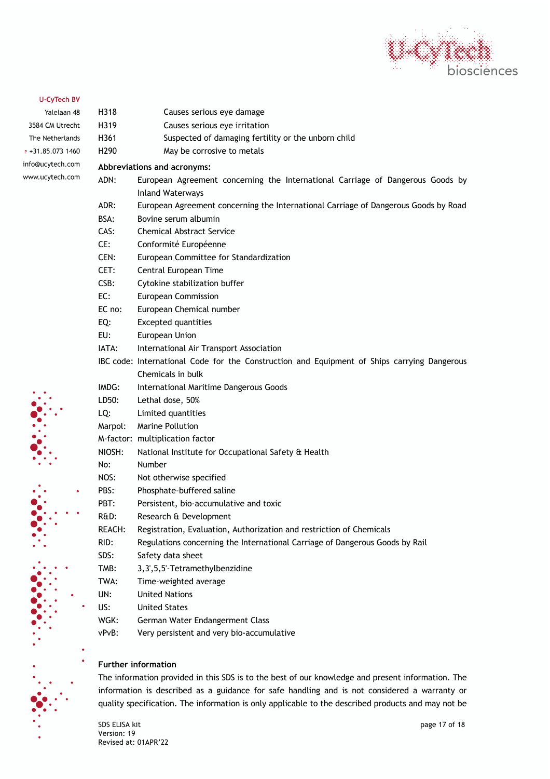

Yalelaan 48 3584 CM Utrecht The Netherlands  $P + 31.85.0731460$ info@ucytech.com www.ucytech.com

# H290 May be corrosive to metals

H318 Causes serious eye damage H319 Causes serious eye irritation

H361 Suspected of damaging fertility or the unborn child

#### **Abbreviations and acronyms:**

- ADN: European Agreement concerning the International Carriage of Dangerous Goods by Inland Waterways
- ADR: European Agreement concerning the International Carriage of Dangerous Goods by Road
- BSA: Bovine serum albumin
- CAS: Chemical Abstract Service
- CE: Conformité Européenne
- CEN: European Committee for Standardization
- CET: Central European Time
- CSB: Cytokine stabilization buffer
- EC: European Commission
- EC no: European Chemical number
- EQ: Excepted quantities
- EU: European Union
- IATA: International Air Transport Association
- IBC code: International Code for the Construction and Equipment of Ships carrying Dangerous Chemicals in bulk
- IMDG: International Maritime Dangerous Goods
- LD50: Lethal dose, 50%
- LQ: Limited quantities
- Marpol: Marine Pollution
- M-factor: multiplication factor
- NIOSH: National Institute for Occupational Safety & Health
- No: Number
	- NOS: Not otherwise specified
- PBS: Phosphate-buffered saline
- PBT: Persistent, bio-accumulative and toxic
- R&D: Research & Development
- REACH: Registration, Evaluation, Authorization and restriction of Chemicals
- RID: Regulations concerning the International Carriage of Dangerous Goods by Rail
- SDS: Safety data sheet
- TMB: 3,3',5,5'-Tetramethylbenzidine
- TWA: Time-weighted average
- UN: United Nations
- US: United States
- WGK: German Water Endangerment Class
- vPvB: Very persistent and very bio-accumulative

#### **Further information**

The information provided in this SDS is to the best of our knowledge and present information. The information is described as a guidance for safe handling and is not considered a warranty or quality specification. The information is only applicable to the described products and may not be

SDS ELISA kit page 17 of 18 Version: 19 Revised at: 01APR'22